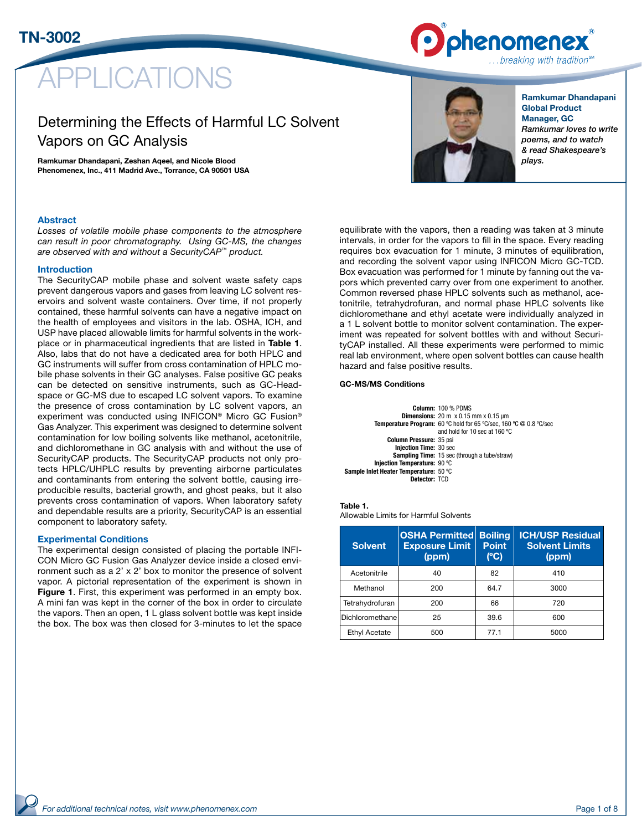

# **PLICATIONS**

# Determining the Effects of Harmful LC Solvent Vapors on GC Analysis

Ramkumar Dhandapani, Zeshan Aqeel, and Nicole Blood Phenomenex, Inc., 411 Madrid Ave., Torrance, CA 90501 USA



Ramkumar Dhandapani Global Product Manager, GC *Ramkumar loves to write poems, and to watch & read Shakespeare's plays.*

# Abstract

*Losses of volatile mobile phase components to the atmosphere can result in poor chromatography. Using GC-MS, the changes are observed with and without a SecurityCAP™ product.*

# Introduction

The SecurityCAP mobile phase and solvent waste safety caps prevent dangerous vapors and gases from leaving LC solvent reservoirs and solvent waste containers. Over time, if not properly contained, these harmful solvents can have a negative impact on the health of employees and visitors in the lab. OSHA, ICH, and USP have placed allowable limits for harmful solvents in the workplace or in pharmaceutical ingredients that are listed in Table 1. Also, labs that do not have a dedicated area for both HPLC and GC instruments will suffer from cross contamination of HPLC mobile phase solvents in their GC analyses. False positive GC peaks can be detected on sensitive instruments, such as GC-Headspace or GC-MS due to escaped LC solvent vapors. To examine the presence of cross contamination by LC solvent vapors, an experiment was conducted using INFICON® Micro GC Fusion® Gas Analyzer. This experiment was designed to determine solvent contamination for low boiling solvents like methanol, acetonitrile, and dichloromethane in GC analysis with and without the use of SecurityCAP products. The SecurityCAP products not only protects HPLC/UHPLC results by preventing airborne particulates and contaminants from entering the solvent bottle, causing irreproducible results, bacterial growth, and ghost peaks, but it also prevents cross contamination of vapors. When laboratory safety and dependable results are a priority, SecurityCAP is an essential component to laboratory safety.

# Experimental Conditions

The experimental design consisted of placing the portable INFI-CON Micro GC Fusion Gas Analyzer device inside a closed environment such as a 2' x 2' box to monitor the presence of solvent vapor. A pictorial representation of the experiment is shown in Figure 1. First, this experiment was performed in an empty box. A mini fan was kept in the corner of the box in order to circulate the vapors. Then an open, 1 L glass solvent bottle was kept inside the box. The box was then closed for 3-minutes to let the space equilibrate with the vapors, then a reading was taken at 3 minute intervals, in order for the vapors to fill in the space. Every reading requires box evacuation for 1 minute, 3 minutes of equilibration, and recording the solvent vapor using INFICON Micro GC-TCD. Box evacuation was performed for 1 minute by fanning out the vapors which prevented carry over from one experiment to another. Common reversed phase HPLC solvents such as methanol, acetonitrile, tetrahydrofuran, and normal phase HPLC solvents like dichloromethane and ethyl acetate were individually analyzed in a 1 L solvent bottle to monitor solvent contamination. The experiment was repeated for solvent bottles with and without SecurityCAP installed. All these experiments were performed to mimic real lab environment, where open solvent bottles can cause health hazard and false positive results.

# GC-MS/MS Conditions

Column: 100 % PDMS Dimensions: 20 m x 0.15 mm x 0.15 µm Temperature Program: 60 ºC hold for 65 ºC/sec, 160 ºC @ 0.8 ºC/sec and hold for 10 sec at 160 ºC Column Pressure: 35 psi Injection Time: 30 sec Sampling Time: 15 sec (through a tube/straw) Injection Temperature: 90 ºC Sample Inlet Heater Temperature: 50 ºC Detector: TCD

Table 1.

Allowable Limits for Harmful Solvents

| <b>Solvent</b>  | <b>OSHA Permitted Boiling</b><br><b>Exposure Limit</b><br>(ppm) | <b>Point</b><br>(C) | <b>ICH/USP Residual</b><br><b>Solvent Limits</b><br>(ppm) |
|-----------------|-----------------------------------------------------------------|---------------------|-----------------------------------------------------------|
| Acetonitrile    | 40                                                              | 82                  | 410                                                       |
| Methanol        | 200                                                             | 64.7                | 3000                                                      |
| Tetrahydrofuran | 200                                                             | 66                  | 720                                                       |
| Dichloromethane | 25                                                              | 39.6                | 600                                                       |
| Ethyl Acetate   | 500                                                             | 77.1                | 5000                                                      |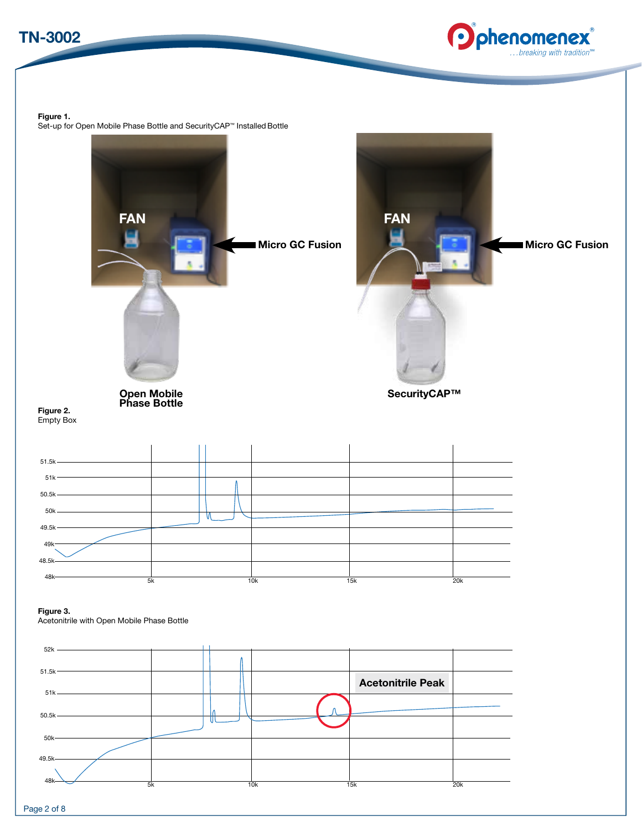



Figure 1.

Set-up for Open Mobile Phase Bottle and SecurityCAP™ Installed Bottle

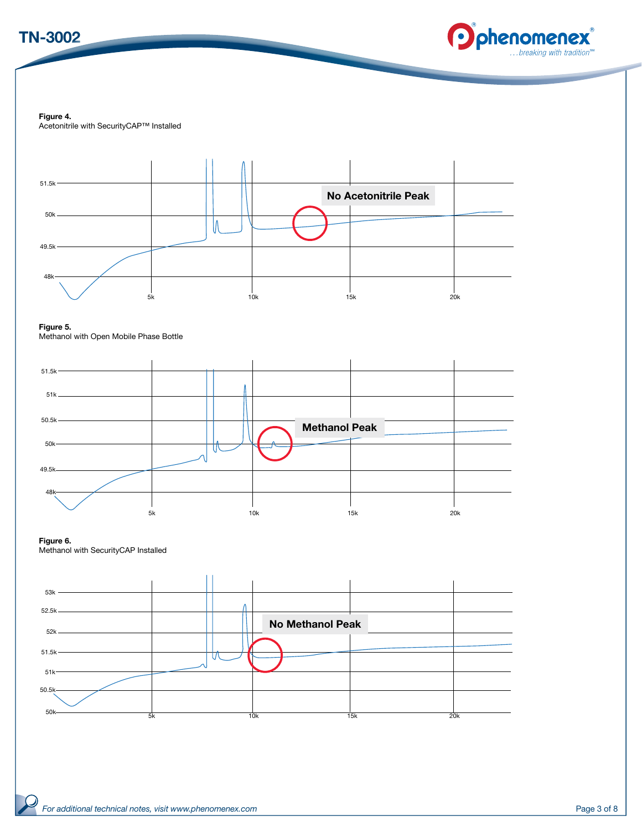



Figure 4. Acetonitrile with SecurityCAP™ Installed



Figure 5. Methanol with Open Mobile Phase Bottle



Figure 6.

Methanol with SecurityCAP Installed

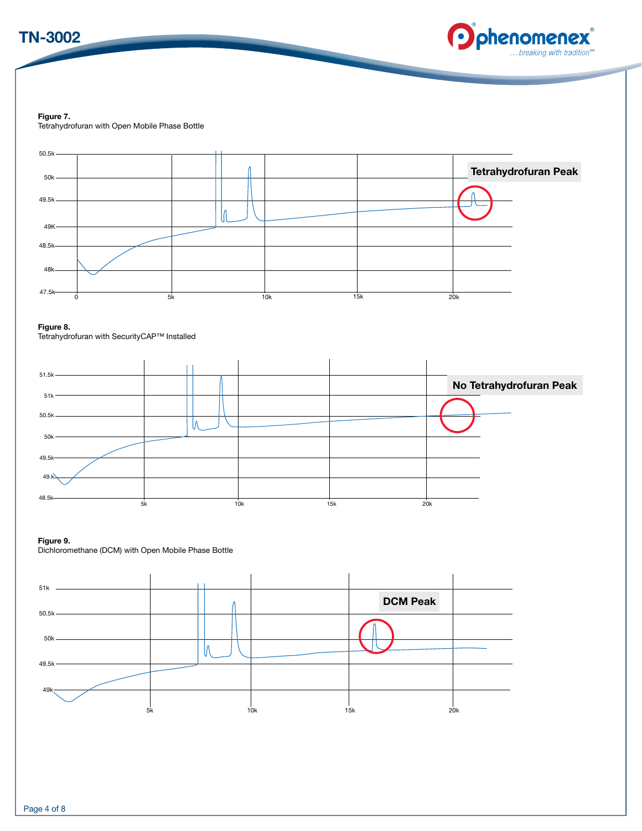



Figure 7. Tetrahydrofuran with Open Mobile Phase Bottle



# Figure 9.

Dichloromethane (DCM) with Open Mobile Phase Bottle

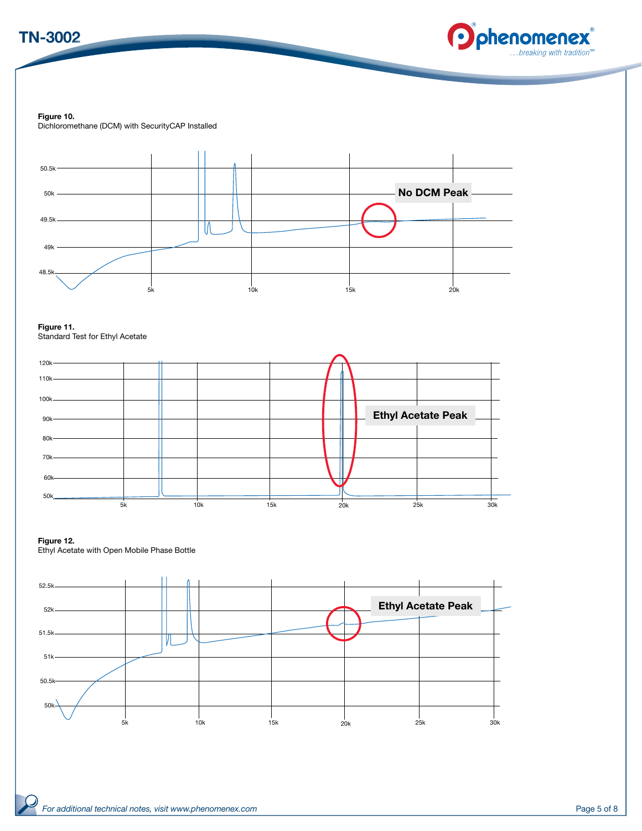



Figure 10.

Dichloromethane (DCM) with SecurityCAP Installed



Figure 11. Standard Test for Ethyl Acetate



# Figure 12.

Ethyl Acetate with Open Mobile Phase Bottle

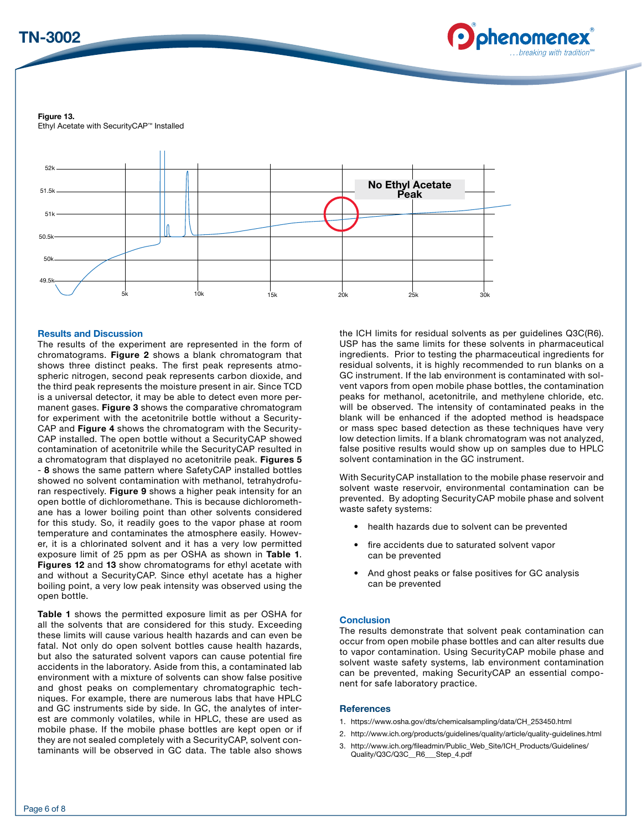# TN-3002



Figure 13. Ethyl Acetate with SecurityCAP™ Installed



# Results and Discussion

The results of the experiment are represented in the form of chromatograms. Figure 2 shows a blank chromatogram that shows three distinct peaks. The first peak represents atmospheric nitrogen, second peak represents carbon dioxide, and the third peak represents the moisture present in air. Since TCD is a universal detector, it may be able to detect even more permanent gases. Figure 3 shows the comparative chromatogram for experiment with the acetonitrile bottle without a Security-CAP and Figure 4 shows the chromatogram with the Security-CAP installed. The open bottle without a SecurityCAP showed contamination of acetonitrile while the SecurityCAP resulted in a chromatogram that displayed no acetonitrile peak. Figures 5 - 8 shows the same pattern where SafetyCAP installed bottles showed no solvent contamination with methanol, tetrahydrofuran respectively. Figure 9 shows a higher peak intensity for an open bottle of dichloromethane. This is because dichloromethane has a lower boiling point than other solvents considered for this study. So, it readily goes to the vapor phase at room temperature and contaminates the atmosphere easily. However, it is a chlorinated solvent and it has a very low permitted exposure limit of 25 ppm as per OSHA as shown in Table 1. Figures 12 and 13 show chromatograms for ethyl acetate with and without a SecurityCAP. Since ethyl acetate has a higher boiling point, a very low peak intensity was observed using the open bottle.

Table 1 shows the permitted exposure limit as per OSHA for all the solvents that are considered for this study. Exceeding these limits will cause various health hazards and can even be fatal. Not only do open solvent bottles cause health hazards, but also the saturated solvent vapors can cause potential fire accidents in the laboratory. Aside from this, a contaminated lab environment with a mixture of solvents can show false positive and ghost peaks on complementary chromatographic techniques. For example, there are numerous labs that have HPLC and GC instruments side by side. In GC, the analytes of interest are commonly volatiles, while in HPLC, these are used as mobile phase. If the mobile phase bottles are kept open or if they are not sealed completely with a SecurityCAP, solvent contaminants will be observed in GC data. The table also shows the ICH limits for residual solvents as per guidelines Q3C(R6). USP has the same limits for these solvents in pharmaceutical ingredients. Prior to testing the pharmaceutical ingredients for residual solvents, it is highly recommended to run blanks on a GC instrument. If the lab environment is contaminated with solvent vapors from open mobile phase bottles, the contamination peaks for methanol, acetonitrile, and methylene chloride, etc. will be observed. The intensity of contaminated peaks in the blank will be enhanced if the adopted method is headspace or mass spec based detection as these techniques have very low detection limits. If a blank chromatogram was not analyzed, false positive results would show up on samples due to HPLC solvent contamination in the GC instrument.

With SecurityCAP installation to the mobile phase reservoir and solvent waste reservoir, environmental contamination can be prevented. By adopting SecurityCAP mobile phase and solvent waste safety systems:

- health hazards due to solvent can be prevented
- fire accidents due to saturated solvent vapor can be prevented
- And ghost peaks or false positives for GC analysis can be prevented

# **Conclusion**

The results demonstrate that solvent peak contamination can occur from open mobile phase bottles and can alter results due to vapor contamination. Using SecurityCAP mobile phase and solvent waste safety systems, lab environment contamination can be prevented, making SecurityCAP an essential component for safe laboratory practice.

# **References**

- 1. https://www.osha.gov/dts/chemicalsampling/data/CH\_253450.html
- 2. http://www.ich.org/products/guidelines/quality/article/quality-guidelines.html
- 3. http://www.ich.org/fileadmin/Public\_Web\_Site/ICH\_Products/Guidelines/ Quality/Q3C/Q3C\_\_R6\_\_\_Step\_4.pdf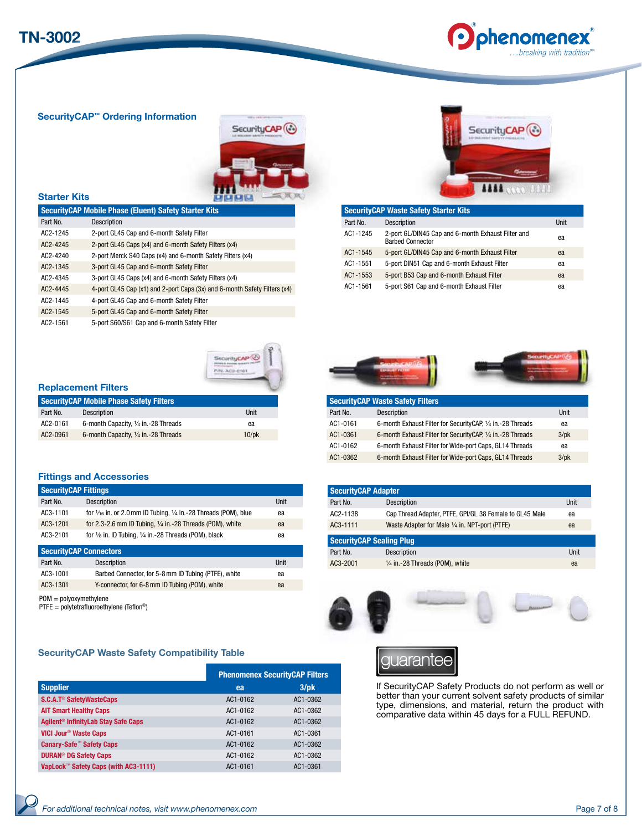

SecurityCAP™ Ordering Information



# Starter Kits

| <b>SecurityCAP Mobile Phase (Eluent) Safety Starter Kits</b> |                                                                           |  |
|--------------------------------------------------------------|---------------------------------------------------------------------------|--|
| Part No.                                                     | <b>Description</b>                                                        |  |
| AC2-1245                                                     | 2-port GL45 Cap and 6-month Safety Filter                                 |  |
| $AC2 - 4245$                                                 | 2-port GL45 Caps (x4) and 6-month Safety Filters (x4)                     |  |
| $AC2 - 4240$                                                 | 2-port Merck S40 Caps (x4) and 6-month Safety Filters (x4)                |  |
| $AC2 - 1345$                                                 | 3-port GL45 Cap and 6-month Safety Filter                                 |  |
| AC2-4345                                                     | 3-port GL45 Caps (x4) and 6-month Safety Filters (x4)                     |  |
| AC2-4445                                                     | 4-port GL45 Cap (x1) and 2-port Caps (3x) and 6-month Safety Filters (x4) |  |
| AC2-1445                                                     | 4-port GL45 Cap and 6-month Safety Filter                                 |  |
| AC2-1545                                                     | 5-port GL45 Cap and 6-month Safety Filter                                 |  |
| AC2-1561                                                     | 5-port S60/S61 Cap and 6-month Safety Filter                              |  |



|          | <b>SecurityCAP Waste Safety Starter Kits</b>                                  |      |
|----------|-------------------------------------------------------------------------------|------|
| Part No. | Description                                                                   | Unit |
| AC1-1245 | 2-port GL/DIN45 Cap and 6-month Exhaust Filter and<br><b>Barbed Connector</b> | ea   |
| AC1-1545 | 5-port GL/DIN45 Cap and 6-month Exhaust Filter                                | ea   |
| AC1-1551 | 5-port DIN51 Cap and 6-month Exhaust Filter                                   | ea   |
| AC1-1553 | 5-port B53 Cap and 6-month Exhaust Filter                                     | ea   |
| AC1-1561 | 5-port S61 Cap and 6-month Exhaust Filter                                     | ea   |



# Replacement Filters

| <b>SecurityCAP Mobile Phase Safety Filters</b> |                                      |             |
|------------------------------------------------|--------------------------------------|-------------|
| Part No.                                       | <b>Description</b>                   | Unit        |
| AC2-0161                                       | 6-month Capacity, 1/4 in.-28 Threads | ea          |
| AC2-0961                                       | 6-month Capacity, 1/4 in.-28 Threads | $10$ /p $k$ |

# Fittings and Accessories

| <b>SecurityCAP Fittings</b> |                                                                                      |             |
|-----------------------------|--------------------------------------------------------------------------------------|-------------|
| Part No.                    | Description                                                                          | <b>Unit</b> |
| AC3-1101                    | for $\frac{1}{16}$ in. or 2.0 mm ID Tubing, $\frac{1}{4}$ in.-28 Threads (POM), blue | ea          |
| AC3-1201                    | for 2.3-2.6 mm ID Tubing, $1/4$ in. -28 Threads (POM), white                         | ea          |
| AC3-2101                    | for $\frac{1}{6}$ in. ID Tubing, $\frac{1}{4}$ in.-28 Threads (POM), black           | ea          |
|                             | <b>SecurityCAP Connectors</b>                                                        |             |
| Part No.                    | Description                                                                          | Unit        |
| AC3-1001                    | Barbed Connector, for 5-8 mm ID Tubing (PTFE), white                                 | ea          |
| AC3-1301                    | Y-connector, for 6-8 mm ID Tubing (POM), white                                       | ea          |

POM = polyoxymethylene

PTFE = polytetrafluoroethylene (Teflon®)

# SecurityCAP Waste Safety Compatibility Table S

|                                                 | <b>Phenomenex SecurityCAP Filters</b> |          |  |
|-------------------------------------------------|---------------------------------------|----------|--|
| <b>Supplier</b>                                 | ea                                    | $3$ /pk  |  |
| S.C.A.T <sup>®</sup> SafetyWasteCaps            | AC1-0162                              | AC1-0362 |  |
| <b>AIT Smart Healthy Caps</b>                   | AC1-0162                              | AC1-0362 |  |
| Agilent <sup>®</sup> InfinityLab Stay Safe Caps | AC1-0162                              | AC1-0362 |  |
| VICI Jour <sup>®</sup> Waste Caps               | AC1-0161                              | AC1-0361 |  |
| <b>Canary-Safe™ Safety Caps</b>                 | AC1-0162                              | AC1-0362 |  |
| <b>DURAN<sup>®</sup> DG Safety Caps</b>         | AC1-0162                              | AC1-0362 |  |
| VapLock™ Safety Caps (with AC3-1111)            | AC1-0161                              | AC1-0361 |  |





| <b>SecurityCAP Waste Safety Filters</b> |                                                               |            |  |
|-----------------------------------------|---------------------------------------------------------------|------------|--|
| Part No.                                | Description                                                   | Unit       |  |
| AC1-0161                                | 6-month Exhaust Filter for Security CAP, 1/4 in. - 28 Threads | ea         |  |
| AC1-0361                                | 6-month Exhaust Filter for Security CAP, 1/4 in.-28 Threads   | $3$ /p $k$ |  |
| AC1-0162                                | 6-month Exhaust Filter for Wide-port Caps, GL14 Threads       | ea         |  |
| AC1-0362                                | 6-month Exhaust Filter for Wide-port Caps, GL14 Threads       | $3$ /p $k$ |  |

| <b>SecurityCAP Adapter</b>      |                                                         |      |  |
|---------------------------------|---------------------------------------------------------|------|--|
| Part No.                        | <b>Description</b>                                      | Unit |  |
| AC2-1138                        | Cap Thread Adapter, PTFE, GPI/GL 38 Female to GL45 Male | ea   |  |
| AC3-1111                        | Waste Adapter for Male 1/4 in. NPT-port (PTFE)          | ea   |  |
| <b>SecurityCAP Sealing Plug</b> |                                                         |      |  |
| Part No.                        | <b>Description</b>                                      | Unit |  |
| AC3-2001                        | $1/4$ in.-28 Threads (POM), white                       | ea   |  |

guarantee

If SecurityCAP Safety Products do not perform as well or better than your current solvent safety products of similar type, dimensions, and material, return the product with comparative data within 45 days for a FULL REFUND.